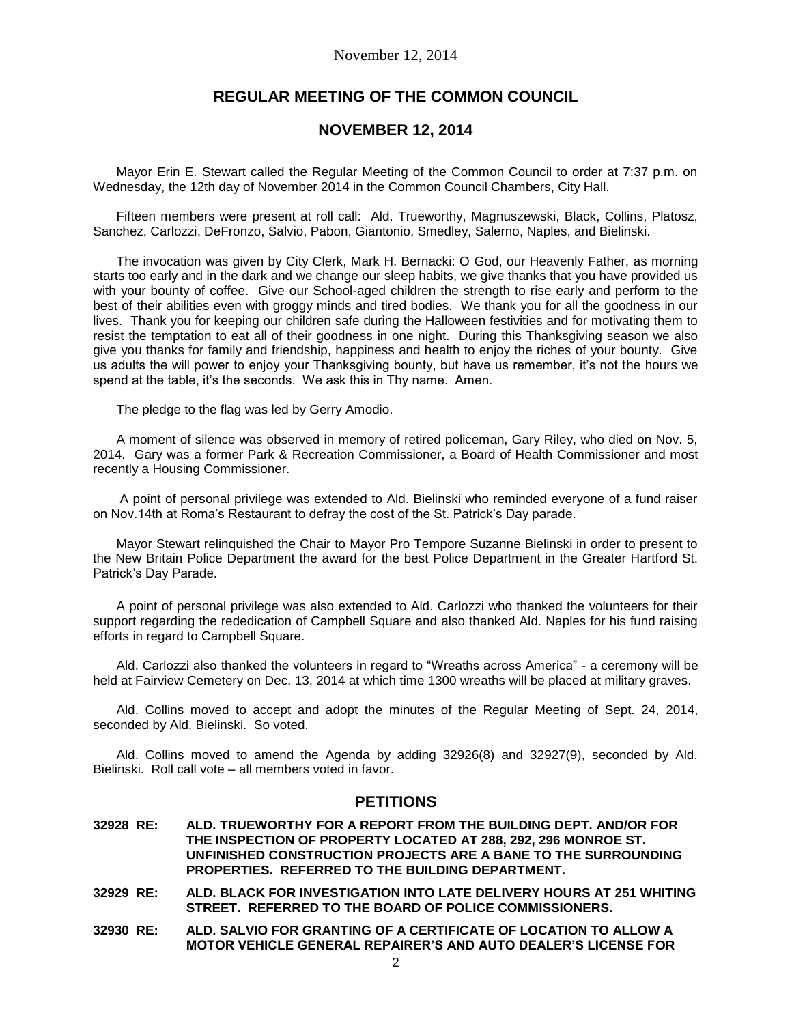# **REGULAR MEETING OF THE COMMON COUNCIL**

# **NOVEMBER 12, 2014**

Mayor Erin E. Stewart called the Regular Meeting of the Common Council to order at 7:37 p.m. on Wednesday, the 12th day of November 2014 in the Common Council Chambers, City Hall.

Fifteen members were present at roll call: Ald. Trueworthy, Magnuszewski, Black, Collins, Platosz, Sanchez, Carlozzi, DeFronzo, Salvio, Pabon, Giantonio, Smedley, Salerno, Naples, and Bielinski.

The invocation was given by City Clerk, Mark H. Bernacki: O God, our Heavenly Father, as morning starts too early and in the dark and we change our sleep habits, we give thanks that you have provided us with your bounty of coffee. Give our School-aged children the strength to rise early and perform to the best of their abilities even with groggy minds and tired bodies. We thank you for all the goodness in our lives. Thank you for keeping our children safe during the Halloween festivities and for motivating them to resist the temptation to eat all of their goodness in one night. During this Thanksgiving season we also give you thanks for family and friendship, happiness and health to enjoy the riches of your bounty. Give us adults the will power to enjoy your Thanksgiving bounty, but have us remember, it's not the hours we spend at the table, it's the seconds. We ask this in Thy name. Amen.

The pledge to the flag was led by Gerry Amodio.

A moment of silence was observed in memory of retired policeman, Gary Riley, who died on Nov. 5, 2014. Gary was a former Park & Recreation Commissioner, a Board of Health Commissioner and most recently a Housing Commissioner.

A point of personal privilege was extended to Ald. Bielinski who reminded everyone of a fund raiser on Nov.14th at Roma's Restaurant to defray the cost of the St. Patrick's Day parade.

Mayor Stewart relinquished the Chair to Mayor Pro Tempore Suzanne Bielinski in order to present to the New Britain Police Department the award for the best Police Department in the Greater Hartford St. Patrick's Day Parade.

A point of personal privilege was also extended to Ald. Carlozzi who thanked the volunteers for their support regarding the rededication of Campbell Square and also thanked Ald. Naples for his fund raising efforts in regard to Campbell Square.

Ald. Carlozzi also thanked the volunteers in regard to "Wreaths across America" - a ceremony will be held at Fairview Cemetery on Dec. 13, 2014 at which time 1300 wreaths will be placed at military graves.

Ald. Collins moved to accept and adopt the minutes of the Regular Meeting of Sept. 24, 2014, seconded by Ald. Bielinski. So voted.

Ald. Collins moved to amend the Agenda by adding 32926(8) and 32927(9), seconded by Ald. Bielinski. Roll call vote – all members voted in favor.

# **PETITIONS**

- **32928 RE: ALD. TRUEWORTHY FOR A REPORT FROM THE BUILDING DEPT. AND/OR FOR THE INSPECTION OF PROPERTY LOCATED AT 288, 292, 296 MONROE ST. UNFINISHED CONSTRUCTION PROJECTS ARE A BANE TO THE SURROUNDING PROPERTIES. REFERRED TO THE BUILDING DEPARTMENT.**
- **32929 RE: ALD. BLACK FOR INVESTIGATION INTO LATE DELIVERY HOURS AT 251 WHITING STREET. REFERRED TO THE BOARD OF POLICE COMMISSIONERS.**
- **32930 RE: ALD. SALVIO FOR GRANTING OF A CERTIFICATE OF LOCATION TO ALLOW A MOTOR VEHICLE GENERAL REPAIRER'S AND AUTO DEALER'S LICENSE FOR**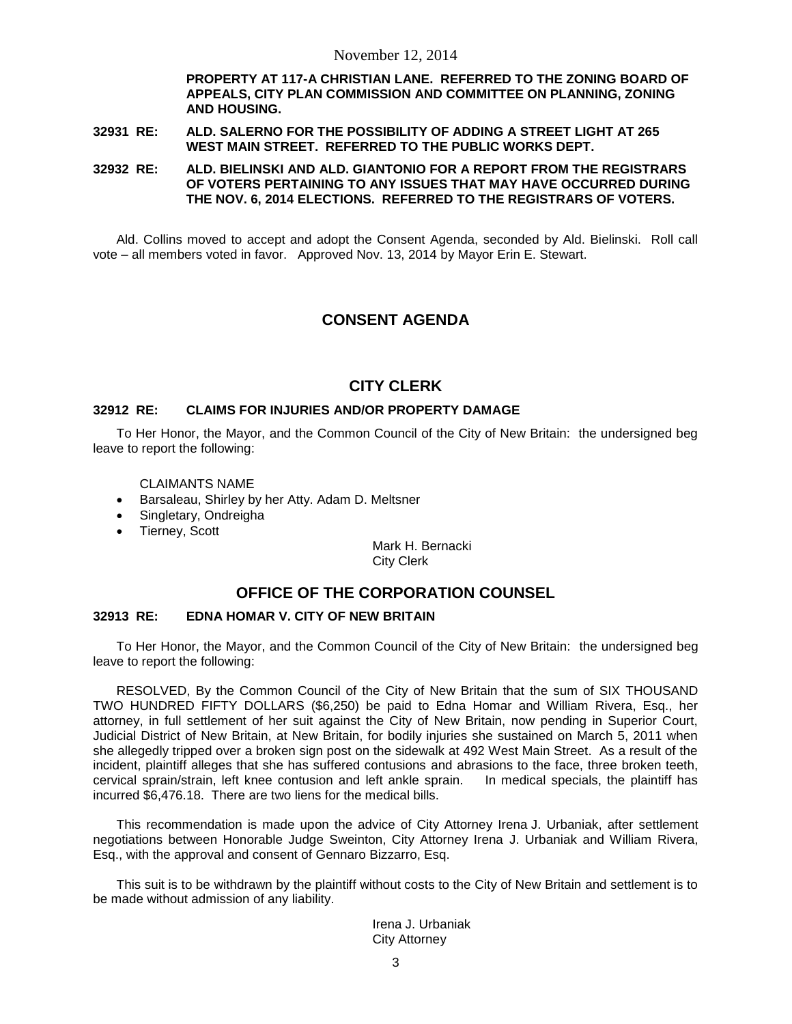**PROPERTY AT 117-A CHRISTIAN LANE. REFERRED TO THE ZONING BOARD OF APPEALS, CITY PLAN COMMISSION AND COMMITTEE ON PLANNING, ZONING AND HOUSING.** 

### **32931 RE: ALD. SALERNO FOR THE POSSIBILITY OF ADDING A STREET LIGHT AT 265 WEST MAIN STREET. REFERRED TO THE PUBLIC WORKS DEPT.**

**32932 RE: ALD. BIELINSKI AND ALD. GIANTONIO FOR A REPORT FROM THE REGISTRARS OF VOTERS PERTAINING TO ANY ISSUES THAT MAY HAVE OCCURRED DURING THE NOV. 6, 2014 ELECTIONS. REFERRED TO THE REGISTRARS OF VOTERS.**

Ald. Collins moved to accept and adopt the Consent Agenda, seconded by Ald. Bielinski. Roll call vote – all members voted in favor. Approved Nov. 13, 2014 by Mayor Erin E. Stewart.

# **CONSENT AGENDA**

# **CITY CLERK**

### **32912 RE: CLAIMS FOR INJURIES AND/OR PROPERTY DAMAGE**

To Her Honor, the Mayor, and the Common Council of the City of New Britain: the undersigned beg leave to report the following:

CLAIMANTS NAME

- Barsaleau, Shirley by her Atty. Adam D. Meltsner
- Singletary, Ondreigha
- Tierney, Scott

Mark H. Bernacki City Clerk

## **OFFICE OF THE CORPORATION COUNSEL**

### **32913 RE: EDNA HOMAR V. CITY OF NEW BRITAIN**

To Her Honor, the Mayor, and the Common Council of the City of New Britain: the undersigned beg leave to report the following:

RESOLVED, By the Common Council of the City of New Britain that the sum of SIX THOUSAND TWO HUNDRED FIFTY DOLLARS (\$6,250) be paid to Edna Homar and William Rivera, Esq., her attorney, in full settlement of her suit against the City of New Britain, now pending in Superior Court, Judicial District of New Britain, at New Britain, for bodily injuries she sustained on March 5, 2011 when she allegedly tripped over a broken sign post on the sidewalk at 492 West Main Street. As a result of the incident, plaintiff alleges that she has suffered contusions and abrasions to the face, three broken teeth, cervical sprain/strain, left knee contusion and left ankle sprain. In medical specials, the plaintiff has incurred \$6,476.18. There are two liens for the medical bills.

This recommendation is made upon the advice of City Attorney Irena J. Urbaniak, after settlement negotiations between Honorable Judge Sweinton, City Attorney Irena J. Urbaniak and William Rivera, Esq., with the approval and consent of Gennaro Bizzarro, Esq.

This suit is to be withdrawn by the plaintiff without costs to the City of New Britain and settlement is to be made without admission of any liability.

> Irena J. Urbaniak City Attorney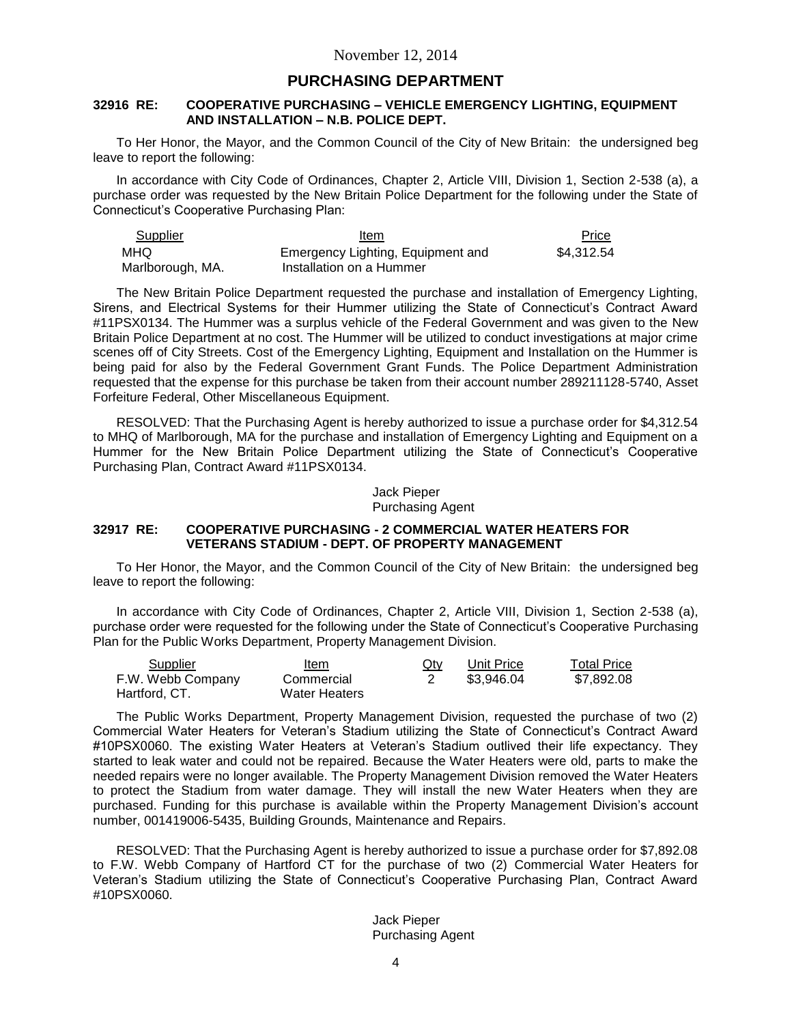# **PURCHASING DEPARTMENT**

## **32916 RE: COOPERATIVE PURCHASING – VEHICLE EMERGENCY LIGHTING, EQUIPMENT AND INSTALLATION – N.B. POLICE DEPT.**

To Her Honor, the Mayor, and the Common Council of the City of New Britain: the undersigned beg leave to report the following:

In accordance with City Code of Ordinances, Chapter 2, Article VIII, Division 1, Section 2-538 (a), a purchase order was requested by the New Britain Police Department for the following under the State of Connecticut's Cooperative Purchasing Plan:

| Supplier         | Item                              | Price      |
|------------------|-----------------------------------|------------|
| MHQ.             | Emergency Lighting, Equipment and | \$4.312.54 |
| Marlborough, MA. | Installation on a Hummer          |            |

The New Britain Police Department requested the purchase and installation of Emergency Lighting, Sirens, and Electrical Systems for their Hummer utilizing the State of Connecticut's Contract Award #11PSX0134. The Hummer was a surplus vehicle of the Federal Government and was given to the New Britain Police Department at no cost. The Hummer will be utilized to conduct investigations at major crime scenes off of City Streets. Cost of the Emergency Lighting, Equipment and Installation on the Hummer is being paid for also by the Federal Government Grant Funds. The Police Department Administration requested that the expense for this purchase be taken from their account number 289211128-5740, Asset Forfeiture Federal, Other Miscellaneous Equipment.

RESOLVED: That the Purchasing Agent is hereby authorized to issue a purchase order for \$4,312.54 to MHQ of Marlborough, MA for the purchase and installation of Emergency Lighting and Equipment on a Hummer for the New Britain Police Department utilizing the State of Connecticut's Cooperative Purchasing Plan, Contract Award #11PSX0134.

> Jack Pieper Purchasing Agent

### **32917 RE: COOPERATIVE PURCHASING - 2 COMMERCIAL WATER HEATERS FOR VETERANS STADIUM - DEPT. OF PROPERTY MANAGEMENT**

To Her Honor, the Mayor, and the Common Council of the City of New Britain: the undersigned beg leave to report the following:

In accordance with City Code of Ordinances, Chapter 2, Article VIII, Division 1, Section 2-538 (a), purchase order were requested for the following under the State of Connecticut's Cooperative Purchasing Plan for the Public Works Department, Property Management Division.

| Supplier          | ltem                 | <u>Qty</u> | Unit Price | <b>Total Price</b> |
|-------------------|----------------------|------------|------------|--------------------|
| F.W. Webb Company | Commercial           |            | \$3.946.04 | \$7.892.08         |
| Hartford, CT.     | <b>Water Heaters</b> |            |            |                    |

The Public Works Department, Property Management Division, requested the purchase of two (2) Commercial Water Heaters for Veteran's Stadium utilizing the State of Connecticut's Contract Award #10PSX0060. The existing Water Heaters at Veteran's Stadium outlived their life expectancy. They started to leak water and could not be repaired. Because the Water Heaters were old, parts to make the needed repairs were no longer available. The Property Management Division removed the Water Heaters to protect the Stadium from water damage. They will install the new Water Heaters when they are purchased. Funding for this purchase is available within the Property Management Division's account number, 001419006-5435, Building Grounds, Maintenance and Repairs.

RESOLVED: That the Purchasing Agent is hereby authorized to issue a purchase order for \$7,892.08 to F.W. Webb Company of Hartford CT for the purchase of two (2) Commercial Water Heaters for Veteran's Stadium utilizing the State of Connecticut's Cooperative Purchasing Plan, Contract Award #10PSX0060.

> Jack Pieper Purchasing Agent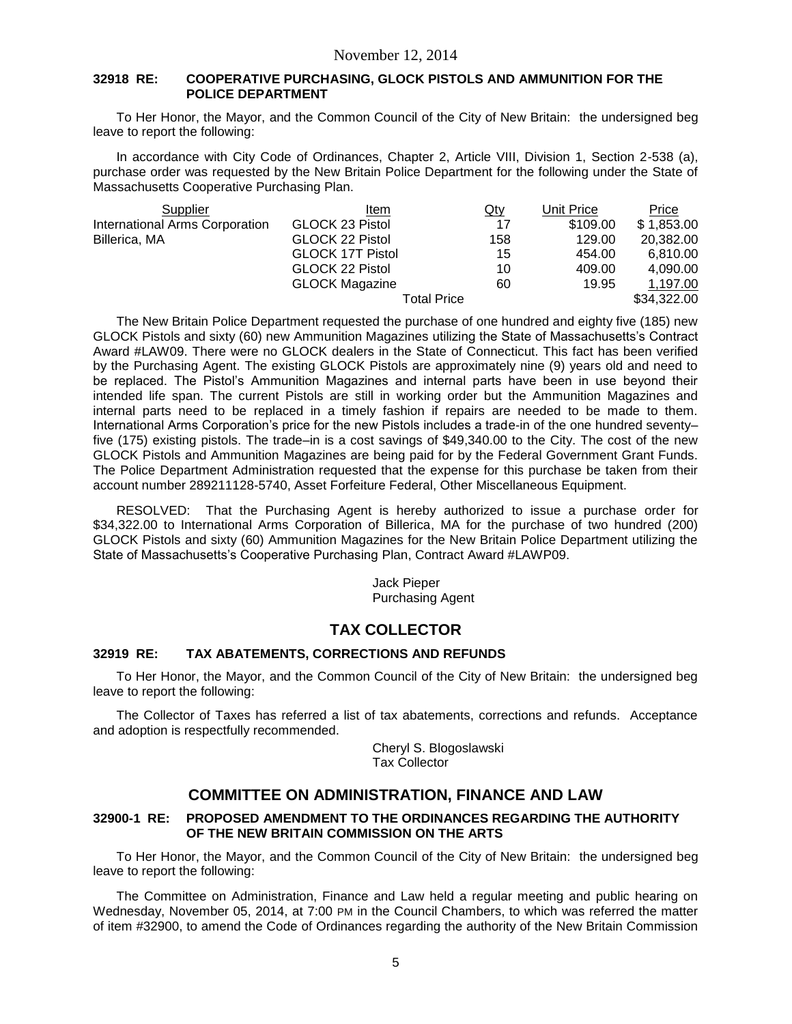## **32918 RE: COOPERATIVE PURCHASING, GLOCK PISTOLS AND AMMUNITION FOR THE POLICE DEPARTMENT**

To Her Honor, the Mayor, and the Common Council of the City of New Britain: the undersigned beg leave to report the following:

In accordance with City Code of Ordinances, Chapter 2, Article VIII, Division 1, Section 2-538 (a), purchase order was requested by the New Britain Police Department for the following under the State of Massachusetts Cooperative Purchasing Plan.

| Supplier                       | Item                    | $Q$ ty | Unit Price | Price       |
|--------------------------------|-------------------------|--------|------------|-------------|
| International Arms Corporation | GLOCK 23 Pistol         | 17     | \$109.00   | \$1,853.00  |
| Billerica, MA                  | GLOCK 22 Pistol         | 158    | 129.00     | 20,382.00   |
|                                | <b>GLOCK 17T Pistol</b> | 15     | 454.00     | 6,810.00    |
|                                | GLOCK 22 Pistol         | 10     | 409.00     | 4,090.00    |
|                                | <b>GLOCK Magazine</b>   | 60     | 19.95      | 1,197.00    |
|                                | Total Price             |        |            | \$34,322.00 |

The New Britain Police Department requested the purchase of one hundred and eighty five (185) new GLOCK Pistols and sixty (60) new Ammunition Magazines utilizing the State of Massachusetts's Contract Award #LAW09. There were no GLOCK dealers in the State of Connecticut. This fact has been verified by the Purchasing Agent. The existing GLOCK Pistols are approximately nine (9) years old and need to be replaced. The Pistol's Ammunition Magazines and internal parts have been in use beyond their intended life span. The current Pistols are still in working order but the Ammunition Magazines and internal parts need to be replaced in a timely fashion if repairs are needed to be made to them. International Arms Corporation's price for the new Pistols includes a trade-in of the one hundred seventy– five (175) existing pistols. The trade–in is a cost savings of \$49,340.00 to the City. The cost of the new GLOCK Pistols and Ammunition Magazines are being paid for by the Federal Government Grant Funds. The Police Department Administration requested that the expense for this purchase be taken from their account number 289211128-5740, Asset Forfeiture Federal, Other Miscellaneous Equipment.

RESOLVED: That the Purchasing Agent is hereby authorized to issue a purchase order for \$34,322.00 to International Arms Corporation of Billerica, MA for the purchase of two hundred (200) GLOCK Pistols and sixty (60) Ammunition Magazines for the New Britain Police Department utilizing the State of Massachusetts's Cooperative Purchasing Plan, Contract Award #LAWP09.

> Jack Pieper Purchasing Agent

# **TAX COLLECTOR**

## **32919 RE: TAX ABATEMENTS, CORRECTIONS AND REFUNDS**

To Her Honor, the Mayor, and the Common Council of the City of New Britain: the undersigned beg leave to report the following:

The Collector of Taxes has referred a list of tax abatements, corrections and refunds. Acceptance and adoption is respectfully recommended.

> Cheryl S. Blogoslawski Tax Collector

# **COMMITTEE ON ADMINISTRATION, FINANCE AND LAW**

## **32900-1 RE: PROPOSED AMENDMENT TO THE ORDINANCES REGARDING THE AUTHORITY OF THE NEW BRITAIN COMMISSION ON THE ARTS**

To Her Honor, the Mayor, and the Common Council of the City of New Britain: the undersigned beg leave to report the following:

The Committee on Administration, Finance and Law held a regular meeting and public hearing on Wednesday, November 05, 2014, at 7:00 PM in the Council Chambers, to which was referred the matter of item #32900, to amend the Code of Ordinances regarding the authority of the New Britain Commission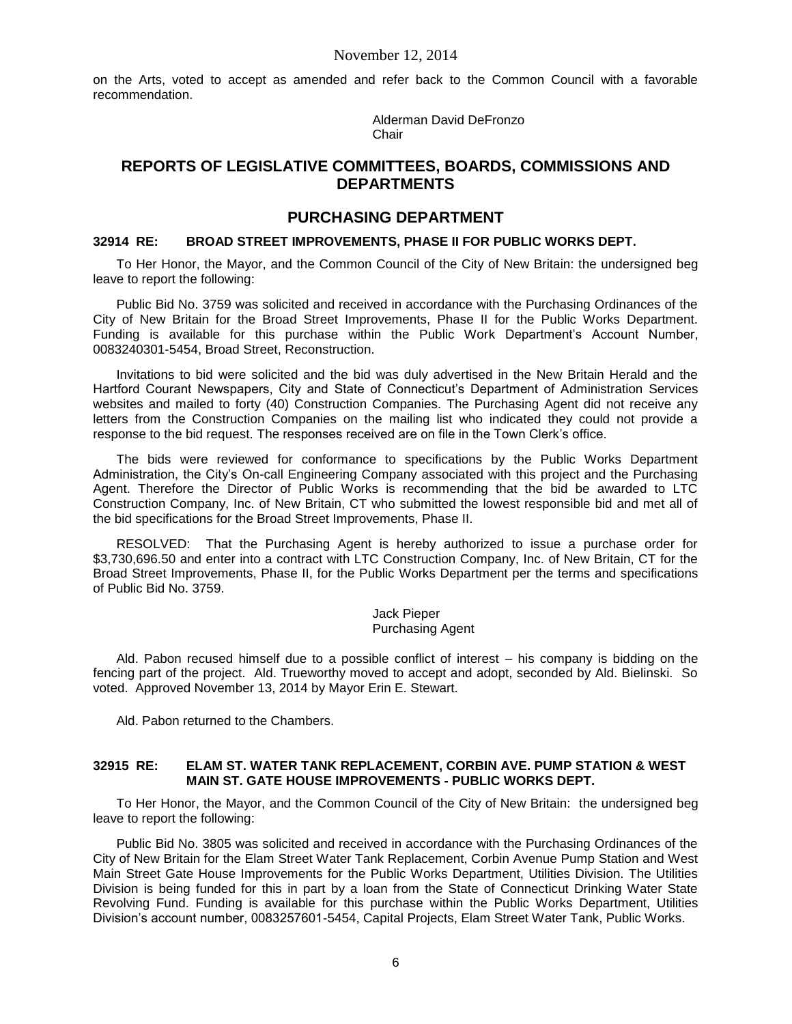on the Arts, voted to accept as amended and refer back to the Common Council with a favorable recommendation.

> Alderman David DeFronzo **Chair**

# **REPORTS OF LEGISLATIVE COMMITTEES, BOARDS, COMMISSIONS AND DEPARTMENTS**

# **PURCHASING DEPARTMENT**

## **32914 RE: BROAD STREET IMPROVEMENTS, PHASE II FOR PUBLIC WORKS DEPT.**

To Her Honor, the Mayor, and the Common Council of the City of New Britain: the undersigned beg leave to report the following:

Public Bid No. 3759 was solicited and received in accordance with the Purchasing Ordinances of the City of New Britain for the Broad Street Improvements, Phase II for the Public Works Department. Funding is available for this purchase within the Public Work Department's Account Number, 0083240301-5454, Broad Street, Reconstruction.

Invitations to bid were solicited and the bid was duly advertised in the New Britain Herald and the Hartford Courant Newspapers, City and State of Connecticut's Department of Administration Services websites and mailed to forty (40) Construction Companies. The Purchasing Agent did not receive any letters from the Construction Companies on the mailing list who indicated they could not provide a response to the bid request. The responses received are on file in the Town Clerk's office.

The bids were reviewed for conformance to specifications by the Public Works Department Administration, the City's On-call Engineering Company associated with this project and the Purchasing Agent. Therefore the Director of Public Works is recommending that the bid be awarded to LTC Construction Company, Inc. of New Britain, CT who submitted the lowest responsible bid and met all of the bid specifications for the Broad Street Improvements, Phase II.

RESOLVED: That the Purchasing Agent is hereby authorized to issue a purchase order for \$3,730,696.50 and enter into a contract with LTC Construction Company, Inc. of New Britain, CT for the Broad Street Improvements, Phase II, for the Public Works Department per the terms and specifications of Public Bid No. 3759.

#### Jack Pieper Purchasing Agent

Ald. Pabon recused himself due to a possible conflict of interest – his company is bidding on the fencing part of the project. Ald. Trueworthy moved to accept and adopt, seconded by Ald. Bielinski. So voted. Approved November 13, 2014 by Mayor Erin E. Stewart.

Ald. Pabon returned to the Chambers.

#### **32915 RE: ELAM ST. WATER TANK REPLACEMENT, CORBIN AVE. PUMP STATION & WEST MAIN ST. GATE HOUSE IMPROVEMENTS - PUBLIC WORKS DEPT.**

To Her Honor, the Mayor, and the Common Council of the City of New Britain: the undersigned beg leave to report the following:

Public Bid No. 3805 was solicited and received in accordance with the Purchasing Ordinances of the City of New Britain for the Elam Street Water Tank Replacement, Corbin Avenue Pump Station and West Main Street Gate House Improvements for the Public Works Department, Utilities Division. The Utilities Division is being funded for this in part by a loan from the State of Connecticut Drinking Water State Revolving Fund. Funding is available for this purchase within the Public Works Department, Utilities Division's account number, 0083257601-5454, Capital Projects, Elam Street Water Tank, Public Works.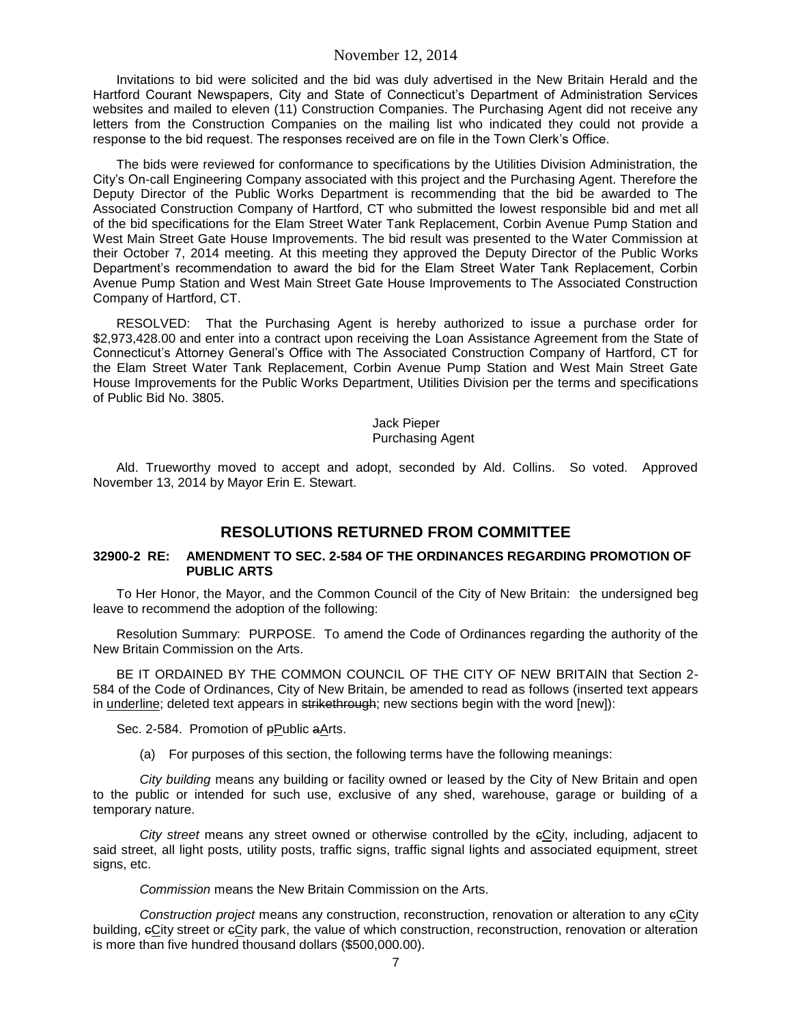Invitations to bid were solicited and the bid was duly advertised in the New Britain Herald and the Hartford Courant Newspapers, City and State of Connecticut's Department of Administration Services websites and mailed to eleven (11) Construction Companies. The Purchasing Agent did not receive any letters from the Construction Companies on the mailing list who indicated they could not provide a response to the bid request. The responses received are on file in the Town Clerk's Office.

The bids were reviewed for conformance to specifications by the Utilities Division Administration, the City's On-call Engineering Company associated with this project and the Purchasing Agent. Therefore the Deputy Director of the Public Works Department is recommending that the bid be awarded to The Associated Construction Company of Hartford, CT who submitted the lowest responsible bid and met all of the bid specifications for the Elam Street Water Tank Replacement, Corbin Avenue Pump Station and West Main Street Gate House Improvements. The bid result was presented to the Water Commission at their October 7, 2014 meeting. At this meeting they approved the Deputy Director of the Public Works Department's recommendation to award the bid for the Elam Street Water Tank Replacement, Corbin Avenue Pump Station and West Main Street Gate House Improvements to The Associated Construction Company of Hartford, CT.

RESOLVED: That the Purchasing Agent is hereby authorized to issue a purchase order for \$2,973,428.00 and enter into a contract upon receiving the Loan Assistance Agreement from the State of Connecticut's Attorney General's Office with The Associated Construction Company of Hartford, CT for the Elam Street Water Tank Replacement, Corbin Avenue Pump Station and West Main Street Gate House Improvements for the Public Works Department, Utilities Division per the terms and specifications of Public Bid No. 3805.

#### Jack Pieper Purchasing Agent

Ald. Trueworthy moved to accept and adopt, seconded by Ald. Collins. So voted. Approved November 13, 2014 by Mayor Erin E. Stewart.

# **RESOLUTIONS RETURNED FROM COMMITTEE**

## **32900-2 RE: AMENDMENT TO SEC. 2-584 OF THE ORDINANCES REGARDING PROMOTION OF PUBLIC ARTS**

To Her Honor, the Mayor, and the Common Council of the City of New Britain: the undersigned beg leave to recommend the adoption of the following:

Resolution Summary: PURPOSE. To amend the Code of Ordinances regarding the authority of the New Britain Commission on the Arts.

BE IT ORDAINED BY THE COMMON COUNCIL OF THE CITY OF NEW BRITAIN that Section 2- 584 of the Code of Ordinances, City of New Britain, be amended to read as follows (inserted text appears in underline; deleted text appears in strikethrough; new sections begin with the word [new]):

Sec. 2-584. Promotion of pPublic aArts.

(a) For purposes of this section, the following terms have the following meanings:

*City building* means any building or facility owned or leased by the City of New Britain and open to the public or intended for such use, exclusive of any shed, warehouse, garage or building of a temporary nature.

*City street* means any street owned or otherwise controlled by the cCity, including, adjacent to said street, all light posts, utility posts, traffic signs, traffic signal lights and associated equipment, street signs, etc.

*Commission* means the New Britain Commission on the Arts.

*Construction project* means any construction, reconstruction, renovation or alteration to any cCity building, cCity street or cCity park, the value of which construction, reconstruction, renovation or alteration is more than five hundred thousand dollars (\$500,000.00).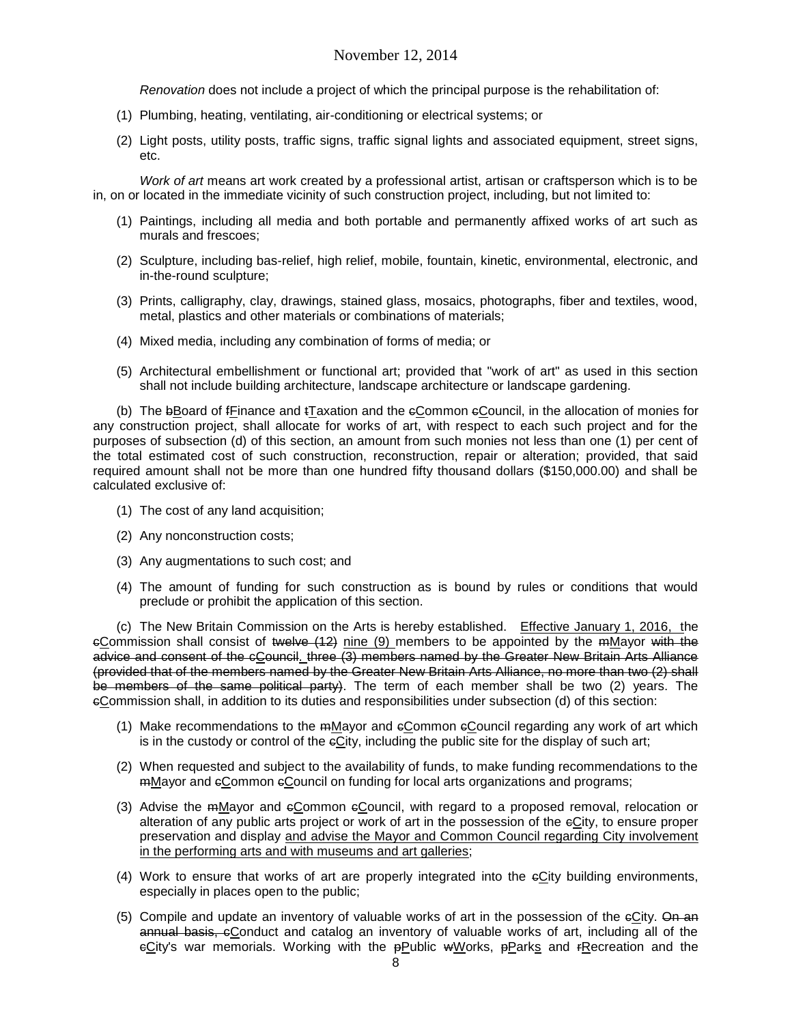*Renovation* does not include a project of which the principal purpose is the rehabilitation of:

- (1) Plumbing, heating, ventilating, air-conditioning or electrical systems; or
- (2) Light posts, utility posts, traffic signs, traffic signal lights and associated equipment, street signs, etc.

*Work of art* means art work created by a professional artist, artisan or craftsperson which is to be in, on or located in the immediate vicinity of such construction project, including, but not limited to:

- (1) Paintings, including all media and both portable and permanently affixed works of art such as murals and frescoes;
- (2) Sculpture, including bas-relief, high relief, mobile, fountain, kinetic, environmental, electronic, and in-the-round sculpture;
- (3) Prints, calligraphy, clay, drawings, stained glass, mosaics, photographs, fiber and textiles, wood, metal, plastics and other materials or combinations of materials;
- (4) Mixed media, including any combination of forms of media; or
- (5) Architectural embellishment or functional art; provided that "work of art" as used in this section shall not include building architecture, landscape architecture or landscape gardening.

(b) The bBoard of frinance and tTaxation and the  $e$ Common  $e$ Council, in the allocation of monies for any construction project, shall allocate for works of art, with respect to each such project and for the purposes of subsection (d) of this section, an amount from such monies not less than one (1) per cent of the total estimated cost of such construction, reconstruction, repair or alteration; provided, that said required amount shall not be more than one hundred fifty thousand dollars (\$150,000.00) and shall be calculated exclusive of:

- (1) The cost of any land acquisition;
- (2) Any nonconstruction costs;
- (3) Any augmentations to such cost; and
- (4) The amount of funding for such construction as is bound by rules or conditions that would preclude or prohibit the application of this section.

(c) The New Britain Commission on the Arts is hereby established. Effective January 1, 2016, the  $e$ Commission shall consist of twelve  $(12)$  nine  $(9)$  members to be appointed by the mMayor with the advice and consent of the cCouncil. three (3) members named by the Greater New Britain Arts Alliance (provided that of the members named by the Greater New Britain Arts Alliance, no more than two (2) shall be members of the same political party). The term of each member shall be two (2) years. The cCommission shall, in addition to its duties and responsibilities under subsection (d) of this section:

- (1) Make recommendations to the mMayor and cCommon cCouncil regarding any work of art which is in the custody or control of the eCity, including the public site for the display of such art;
- (2) When requested and subject to the availability of funds, to make funding recommendations to the mMayor and cCommon cCouncil on funding for local arts organizations and programs;
- (3) Advise the mMayor and cCommon cCouncil, with regard to a proposed removal, relocation or alteration of any public arts project or work of art in the possession of the cCity, to ensure proper preservation and display and advise the Mayor and Common Council regarding City involvement in the performing arts and with museums and art galleries;
- (4) Work to ensure that works of art are properly integrated into the cCity building environments, especially in places open to the public;
- (5) Compile and update an inventory of valuable works of art in the possession of the  $eCity$ . On an annual basis, eConduct and catalog an inventory of valuable works of art, including all of the eCity's war memorials. Working with the pPublic wWorks, pParks and rRecreation and the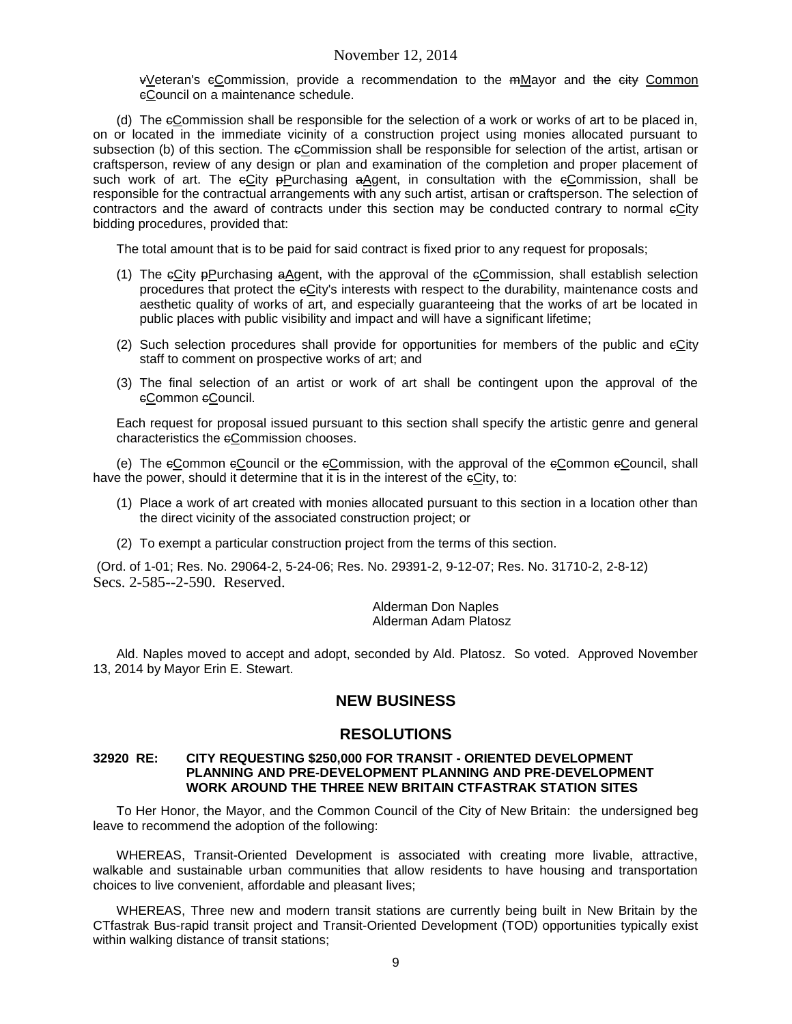vVeteran's cCommission, provide a recommendation to the mMayor and the city Common cCouncil on a maintenance schedule.

(d) The cCommission shall be responsible for the selection of a work or works of art to be placed in, on or located in the immediate vicinity of a construction project using monies allocated pursuant to subsection (b) of this section. The eCommission shall be responsible for selection of the artist, artisan or craftsperson, review of any design or plan and examination of the completion and proper placement of such work of art. The eCity ePurchasing aAgent, in consultation with the eCommission, shall be responsible for the contractual arrangements with any such artist, artisan or craftsperson. The selection of contractors and the award of contracts under this section may be conducted contrary to normal cCity bidding procedures, provided that:

The total amount that is to be paid for said contract is fixed prior to any request for proposals;

- (1) The  $\epsilon$ City  $\epsilon$ Purchasing aAgent, with the approval of the  $\epsilon$ Commission, shall establish selection procedures that protect the cCity's interests with respect to the durability, maintenance costs and aesthetic quality of works of art, and especially guaranteeing that the works of art be located in public places with public visibility and impact and will have a significant lifetime;
- (2) Such selection procedures shall provide for opportunities for members of the public and eCity staff to comment on prospective works of art; and
- (3) The final selection of an artist or work of art shall be contingent upon the approval of the eCommon eCouncil.

Each request for proposal issued pursuant to this section shall specify the artistic genre and general characteristics the eCommission chooses.

(e) The cCommon cCouncil or the cCommission, with the approval of the cCommon cCouncil, shall have the power, should it determine that it is in the interest of the  $eCity$ , to:

- (1) Place a work of art created with monies allocated pursuant to this section in a location other than the direct vicinity of the associated construction project; or
- (2) To exempt a particular construction project from the terms of this section.

(Ord. of 1-01; Res. No. 29064-2, 5-24-06; Res. No. 29391-2, 9-12-07; Res. No. 31710-2, 2-8-12) Secs. 2-585--2-590. Reserved.

> Alderman Don Naples Alderman Adam Platosz

Ald. Naples moved to accept and adopt, seconded by Ald. Platosz. So voted. Approved November 13, 2014 by Mayor Erin E. Stewart.

# **NEW BUSINESS**

## **RESOLUTIONS**

#### **32920 RE: CITY REQUESTING \$250,000 FOR TRANSIT - ORIENTED DEVELOPMENT PLANNING AND PRE-DEVELOPMENT PLANNING AND PRE-DEVELOPMENT WORK AROUND THE THREE NEW BRITAIN CTFASTRAK STATION SITES**

To Her Honor, the Mayor, and the Common Council of the City of New Britain: the undersigned beg leave to recommend the adoption of the following:

WHEREAS, Transit-Oriented Development is associated with creating more livable, attractive, walkable and sustainable urban communities that allow residents to have housing and transportation choices to live convenient, affordable and pleasant lives;

WHEREAS, Three new and modern transit stations are currently being built in New Britain by the CTfastrak Bus-rapid transit project and Transit-Oriented Development (TOD) opportunities typically exist within walking distance of transit stations;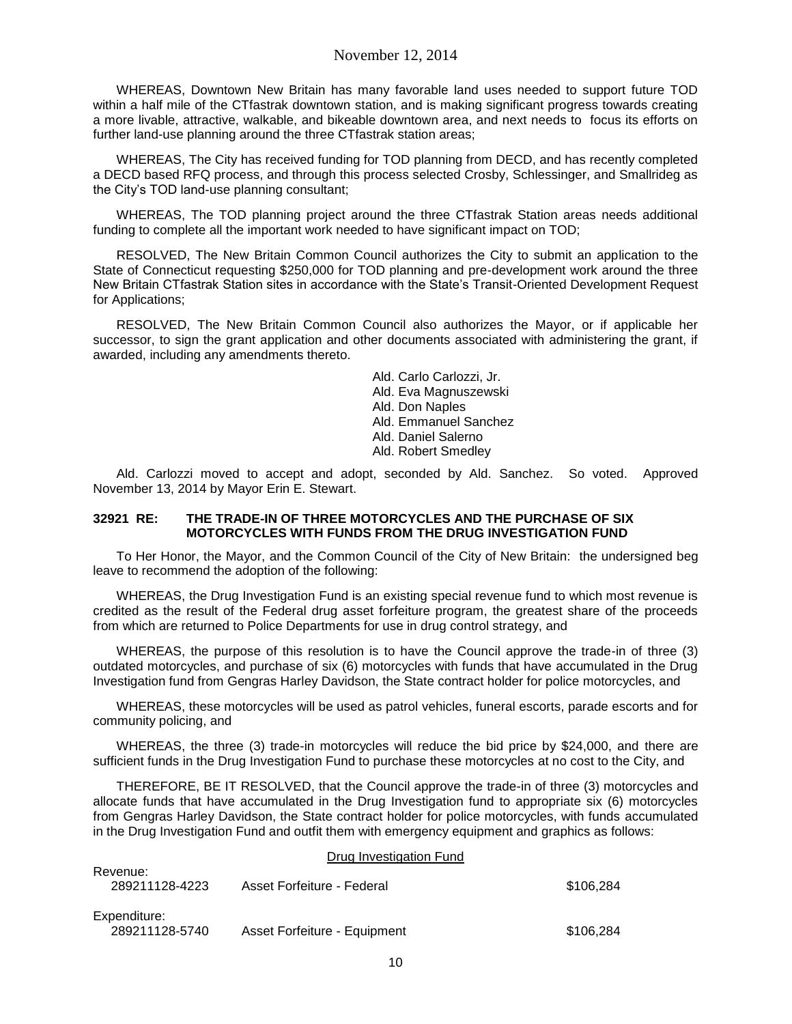WHEREAS, Downtown New Britain has many favorable land uses needed to support future TOD within a half mile of the CTfastrak downtown station, and is making significant progress towards creating a more livable, attractive, walkable, and bikeable downtown area, and next needs to focus its efforts on further land-use planning around the three CTfastrak station areas;

WHEREAS, The City has received funding for TOD planning from DECD, and has recently completed a DECD based RFQ process, and through this process selected Crosby, Schlessinger, and Smallrideg as the City's TOD land-use planning consultant;

WHEREAS, The TOD planning project around the three CTfastrak Station areas needs additional funding to complete all the important work needed to have significant impact on TOD;

RESOLVED, The New Britain Common Council authorizes the City to submit an application to the State of Connecticut requesting \$250,000 for TOD planning and pre-development work around the three New Britain CTfastrak Station sites in accordance with the State's Transit-Oriented Development Request for Applications;

RESOLVED, The New Britain Common Council also authorizes the Mayor, or if applicable her successor, to sign the grant application and other documents associated with administering the grant, if awarded, including any amendments thereto.

> Ald. Carlo Carlozzi, Jr. Ald. Eva Magnuszewski Ald. Don Naples Ald. Emmanuel Sanchez Ald. Daniel Salerno Ald. Robert Smedley

Ald. Carlozzi moved to accept and adopt, seconded by Ald. Sanchez. So voted. Approved November 13, 2014 by Mayor Erin E. Stewart.

## **32921 RE: THE TRADE-IN OF THREE MOTORCYCLES AND THE PURCHASE OF SIX MOTORCYCLES WITH FUNDS FROM THE DRUG INVESTIGATION FUND**

To Her Honor, the Mayor, and the Common Council of the City of New Britain: the undersigned beg leave to recommend the adoption of the following:

WHEREAS, the Drug Investigation Fund is an existing special revenue fund to which most revenue is credited as the result of the Federal drug asset forfeiture program, the greatest share of the proceeds from which are returned to Police Departments for use in drug control strategy, and

WHEREAS, the purpose of this resolution is to have the Council approve the trade-in of three (3) outdated motorcycles, and purchase of six (6) motorcycles with funds that have accumulated in the Drug Investigation fund from Gengras Harley Davidson, the State contract holder for police motorcycles, and

WHEREAS, these motorcycles will be used as patrol vehicles, funeral escorts, parade escorts and for community policing, and

WHEREAS, the three (3) trade-in motorcycles will reduce the bid price by \$24,000, and there are sufficient funds in the Drug Investigation Fund to purchase these motorcycles at no cost to the City, and

THEREFORE, BE IT RESOLVED, that the Council approve the trade-in of three (3) motorcycles and allocate funds that have accumulated in the Drug Investigation fund to appropriate six (6) motorcycles from Gengras Harley Davidson, the State contract holder for police motorcycles, with funds accumulated in the Drug Investigation Fund and outfit them with emergency equipment and graphics as follows:

#### Drug Investigation Fund

| Revenue:<br>289211128-4223     | Asset Forfeiture - Federal   | \$106.284 |
|--------------------------------|------------------------------|-----------|
| Expenditure:<br>289211128-5740 | Asset Forfeiture - Equipment | \$106.284 |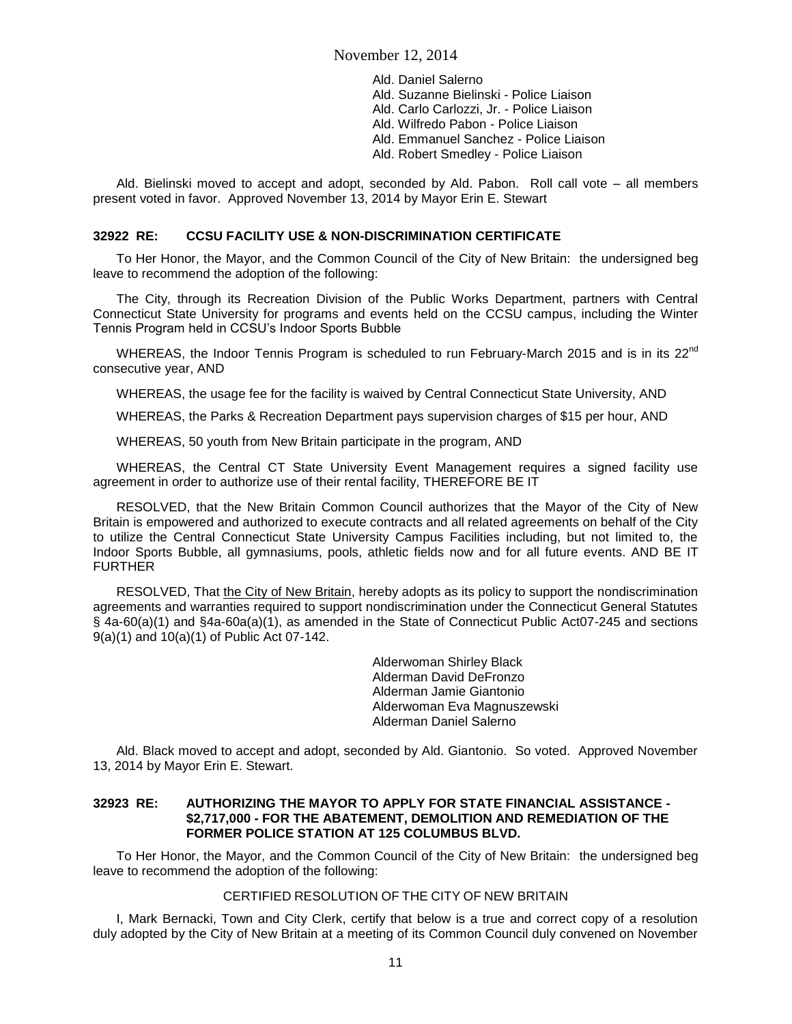Ald. Daniel Salerno Ald. Suzanne Bielinski - Police Liaison Ald. Carlo Carlozzi, Jr. - Police Liaison Ald. Wilfredo Pabon - Police Liaison Ald. Emmanuel Sanchez - Police Liaison Ald. Robert Smedley - Police Liaison

Ald. Bielinski moved to accept and adopt, seconded by Ald. Pabon. Roll call vote – all members present voted in favor. Approved November 13, 2014 by Mayor Erin E. Stewart

### **32922 RE: CCSU FACILITY USE & NON-DISCRIMINATION CERTIFICATE**

To Her Honor, the Mayor, and the Common Council of the City of New Britain: the undersigned beg leave to recommend the adoption of the following:

The City, through its Recreation Division of the Public Works Department, partners with Central Connecticut State University for programs and events held on the CCSU campus, including the Winter Tennis Program held in CCSU's Indoor Sports Bubble

WHEREAS, the Indoor Tennis Program is scheduled to run February-March 2015 and is in its 22<sup>nd</sup> consecutive year, AND

WHEREAS, the usage fee for the facility is waived by Central Connecticut State University, AND

WHEREAS, the Parks & Recreation Department pays supervision charges of \$15 per hour, AND

WHEREAS, 50 youth from New Britain participate in the program, AND

WHEREAS, the Central CT State University Event Management requires a signed facility use agreement in order to authorize use of their rental facility, THEREFORE BE IT

RESOLVED, that the New Britain Common Council authorizes that the Mayor of the City of New Britain is empowered and authorized to execute contracts and all related agreements on behalf of the City to utilize the Central Connecticut State University Campus Facilities including, but not limited to, the Indoor Sports Bubble, all gymnasiums, pools, athletic fields now and for all future events. AND BE IT FURTHER

RESOLVED, That the City of New Britain, hereby adopts as its policy to support the nondiscrimination agreements and warranties required to support nondiscrimination under the Connecticut General Statutes § 4a-60(a)(1) and §4a-60a(a)(1), as amended in the State of Connecticut Public Act07-245 and sections 9(a)(1) and 10(a)(1) of Public Act 07-142.

> Alderwoman Shirley Black Alderman David DeFronzo Alderman Jamie Giantonio Alderwoman Eva Magnuszewski Alderman Daniel Salerno

Ald. Black moved to accept and adopt, seconded by Ald. Giantonio. So voted. Approved November 13, 2014 by Mayor Erin E. Stewart.

## **32923 RE: AUTHORIZING THE MAYOR TO APPLY FOR STATE FINANCIAL ASSISTANCE - \$2,717,000 - FOR THE ABATEMENT, DEMOLITION AND REMEDIATION OF THE FORMER POLICE STATION AT 125 COLUMBUS BLVD.**

To Her Honor, the Mayor, and the Common Council of the City of New Britain: the undersigned beg leave to recommend the adoption of the following:

## CERTIFIED RESOLUTION OF THE CITY OF NEW BRITAIN

I, Mark Bernacki, Town and City Clerk, certify that below is a true and correct copy of a resolution duly adopted by the City of New Britain at a meeting of its Common Council duly convened on November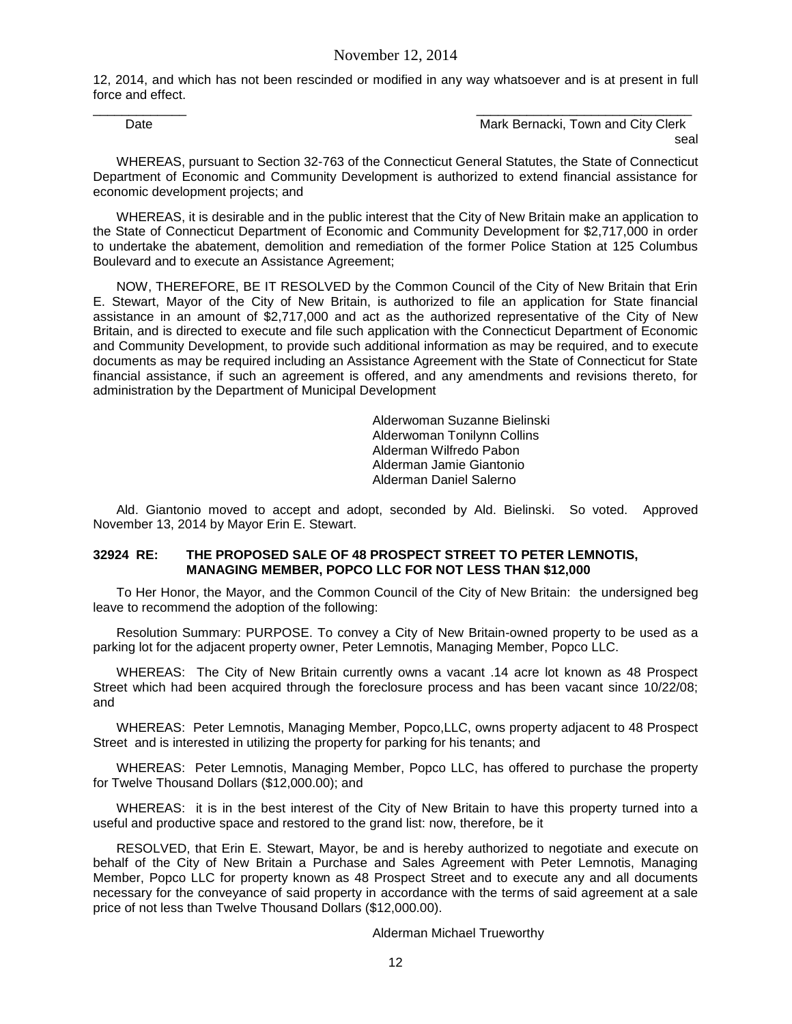12, 2014, and which has not been rescinded or modified in any way whatsoever and is at present in full force and effect. \_\_\_\_\_\_\_\_\_\_\_\_\_ \_\_\_\_\_\_\_\_\_\_\_\_\_\_\_\_\_\_\_\_\_\_\_\_\_\_\_\_\_\_

Date **Date Contract Bernacki, Town and City Clerk** Mark Bernacki, Town and City Clerk seal

WHEREAS, pursuant to Section 32-763 of the Connecticut General Statutes, the State of Connecticut Department of Economic and Community Development is authorized to extend financial assistance for economic development projects; and

WHEREAS, it is desirable and in the public interest that the City of New Britain make an application to the State of Connecticut Department of Economic and Community Development for \$2,717,000 in order to undertake the abatement, demolition and remediation of the former Police Station at 125 Columbus Boulevard and to execute an Assistance Agreement;

NOW, THEREFORE, BE IT RESOLVED by the Common Council of the City of New Britain that Erin E. Stewart, Mayor of the City of New Britain, is authorized to file an application for State financial assistance in an amount of \$2,717,000 and act as the authorized representative of the City of New Britain, and is directed to execute and file such application with the Connecticut Department of Economic and Community Development, to provide such additional information as may be required, and to execute documents as may be required including an Assistance Agreement with the State of Connecticut for State financial assistance, if such an agreement is offered, and any amendments and revisions thereto, for administration by the Department of Municipal Development

> Alderwoman Suzanne Bielinski Alderwoman Tonilynn Collins Alderman Wilfredo Pabon Alderman Jamie Giantonio Alderman Daniel Salerno

Ald. Giantonio moved to accept and adopt, seconded by Ald. Bielinski. So voted. Approved November 13, 2014 by Mayor Erin E. Stewart.

### **32924 RE: THE PROPOSED SALE OF 48 PROSPECT STREET TO PETER LEMNOTIS, MANAGING MEMBER, POPCO LLC FOR NOT LESS THAN \$12,000**

To Her Honor, the Mayor, and the Common Council of the City of New Britain: the undersigned beg leave to recommend the adoption of the following:

Resolution Summary: PURPOSE. To convey a City of New Britain-owned property to be used as a parking lot for the adjacent property owner, Peter Lemnotis, Managing Member, Popco LLC.

WHEREAS: The City of New Britain currently owns a vacant .14 acre lot known as 48 Prospect Street which had been acquired through the foreclosure process and has been vacant since 10/22/08; and

WHEREAS: Peter Lemnotis, Managing Member, Popco,LLC, owns property adjacent to 48 Prospect Street and is interested in utilizing the property for parking for his tenants; and

WHEREAS: Peter Lemnotis, Managing Member, Popco LLC, has offered to purchase the property for Twelve Thousand Dollars (\$12,000.00); and

WHEREAS: it is in the best interest of the City of New Britain to have this property turned into a useful and productive space and restored to the grand list: now, therefore, be it

RESOLVED, that Erin E. Stewart, Mayor, be and is hereby authorized to negotiate and execute on behalf of the City of New Britain a Purchase and Sales Agreement with Peter Lemnotis, Managing Member, Popco LLC for property known as 48 Prospect Street and to execute any and all documents necessary for the conveyance of said property in accordance with the terms of said agreement at a sale price of not less than Twelve Thousand Dollars (\$12,000.00).

#### Alderman Michael Trueworthy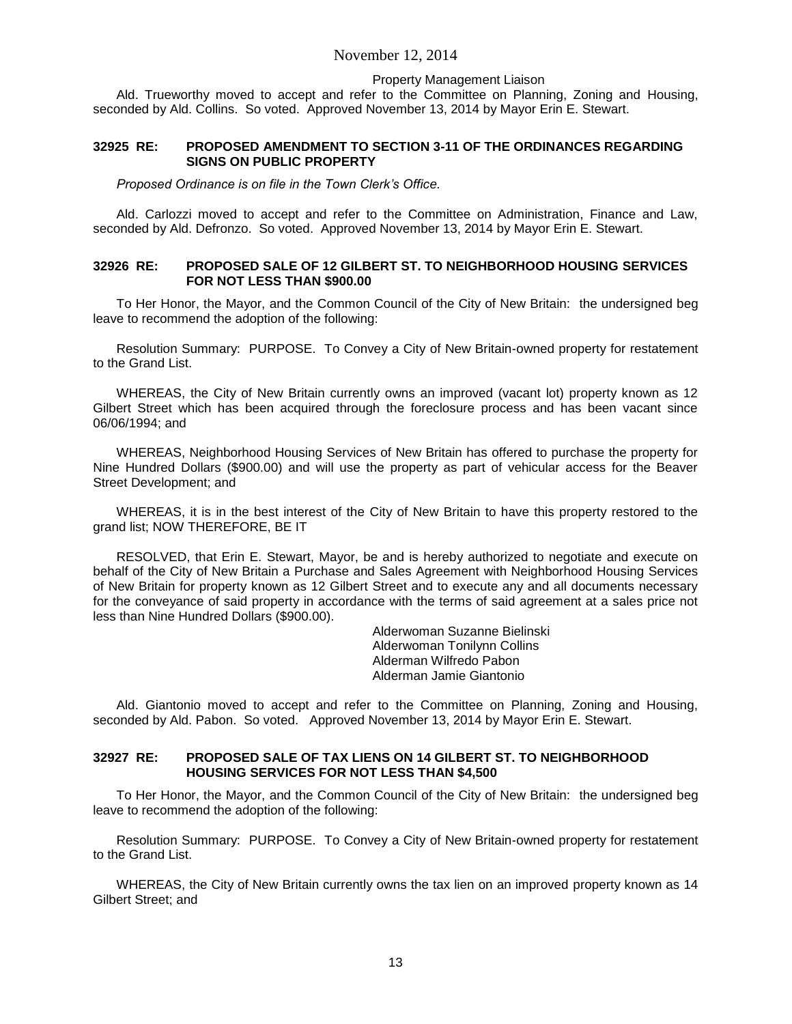#### Property Management Liaison

Ald. Trueworthy moved to accept and refer to the Committee on Planning, Zoning and Housing, seconded by Ald. Collins. So voted. Approved November 13, 2014 by Mayor Erin E. Stewart.

### **32925 RE: PROPOSED AMENDMENT TO SECTION 3-11 OF THE ORDINANCES REGARDING SIGNS ON PUBLIC PROPERTY**

*Proposed Ordinance is on file in the Town Clerk's Office.*

Ald. Carlozzi moved to accept and refer to the Committee on Administration, Finance and Law, seconded by Ald. Defronzo. So voted. Approved November 13, 2014 by Mayor Erin E. Stewart.

## **32926 RE: PROPOSED SALE OF 12 GILBERT ST. TO NEIGHBORHOOD HOUSING SERVICES FOR NOT LESS THAN \$900.00**

To Her Honor, the Mayor, and the Common Council of the City of New Britain: the undersigned beg leave to recommend the adoption of the following:

Resolution Summary: PURPOSE. To Convey a City of New Britain-owned property for restatement to the Grand List.

WHEREAS, the City of New Britain currently owns an improved (vacant lot) property known as 12 Gilbert Street which has been acquired through the foreclosure process and has been vacant since 06/06/1994; and

WHEREAS, Neighborhood Housing Services of New Britain has offered to purchase the property for Nine Hundred Dollars (\$900.00) and will use the property as part of vehicular access for the Beaver Street Development; and

WHEREAS, it is in the best interest of the City of New Britain to have this property restored to the grand list; NOW THEREFORE, BE IT

RESOLVED, that Erin E. Stewart, Mayor, be and is hereby authorized to negotiate and execute on behalf of the City of New Britain a Purchase and Sales Agreement with Neighborhood Housing Services of New Britain for property known as 12 Gilbert Street and to execute any and all documents necessary for the conveyance of said property in accordance with the terms of said agreement at a sales price not less than Nine Hundred Dollars (\$900.00).

> Alderwoman Suzanne Bielinski Alderwoman Tonilynn Collins Alderman Wilfredo Pabon Alderman Jamie Giantonio

Ald. Giantonio moved to accept and refer to the Committee on Planning, Zoning and Housing, seconded by Ald. Pabon. So voted. Approved November 13, 2014 by Mayor Erin E. Stewart.

### **32927 RE: PROPOSED SALE OF TAX LIENS ON 14 GILBERT ST. TO NEIGHBORHOOD HOUSING SERVICES FOR NOT LESS THAN \$4,500**

To Her Honor, the Mayor, and the Common Council of the City of New Britain: the undersigned beg leave to recommend the adoption of the following:

Resolution Summary: PURPOSE. To Convey a City of New Britain-owned property for restatement to the Grand List.

WHEREAS, the City of New Britain currently owns the tax lien on an improved property known as 14 Gilbert Street; and